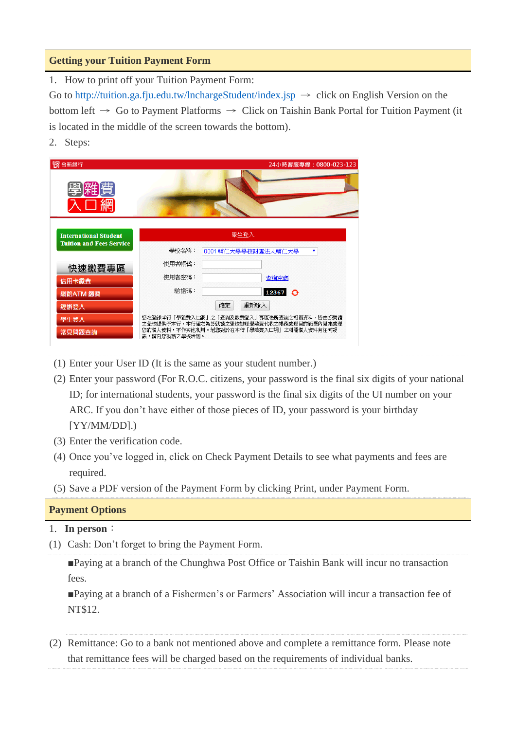### **Getting your Tuition Payment Form**

1. How to print off your Tuition Payment Form:

Go to<http://tuition.ga.fju.edu.tw/lnchargeStudent/index.jsp>  $\rightarrow$  click on English Version on the bottom left  $\rightarrow$  Go to Payment Platforms  $\rightarrow$  Click on Taishin Bank Portal for Tuition Payment (it is located in the middle of the screen towards the bottom).

2. Steps:



- (1) Enter your User ID (It is the same as your student number.)
- (2) Enter your password (For R.O.C. citizens, your password is the final six digits of your national ID; for international students, your password is the final six digits of the UI number on your ARC. If you don't have either of those pieces of ID, your password is your birthday [YY/MM/DD].)
- (3) Enter the verification code.
- (4) Once you've logged in, click on Check Payment Details to see what payments and fees are required.
- (5) Save a PDF version of the Payment Form by clicking Print, under Payment Form.

### **Payment Options**

#### 1. **In person**:

(1) Cash: Don't forget to bring the Payment Form.

■Paying at a branch of the Chunghwa Post Office or Taishin Bank will incur no transaction fees.

■Paying at a branch of a Fishermen's or Farmers' Association will incur a transaction fee of NT\$12.

(2) Remittance: Go to a bank not mentioned above and complete a remittance form. Please note that remittance fees will be charged based on the requirements of individual banks.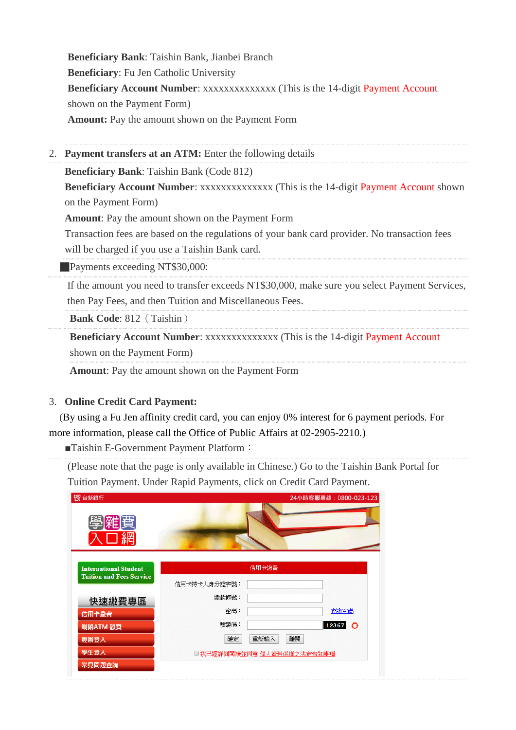**Beneficiary Bank**: Taishin Bank, Jianbei Branch **Beneficiary**: Fu Jen Catholic University **Beneficiary Account Number**: xxxxxxxxxxxxxx (This is the 14-digit Payment Account shown on the Payment Form) **Amount:** Pay the amount shown on the Payment Form

2. **Payment transfers at an ATM:** Enter the following details

**Beneficiary Bank**: Taishin Bank (Code 812)

**Beneficiary Account Number**: xxxxxxxxxxxxxx (This is the 14-digit Payment Account shown on the Payment Form)

**Amount**: Pay the amount shown on the Payment Form

Transaction fees are based on the regulations of your bank card provider. No transaction fees will be charged if you use a Taishin Bank card.

**Payments exceeding NT\$30,000:** 

If the amount you need to transfer exceeds NT\$30,000, make sure you select Payment Services, then Pay Fees, and then Tuition and Miscellaneous Fees.

**Bank Code**: 812 (Taishin)

**Beneficiary Account Number**: xxxxxxxxxxxxxx (This is the 14-digit Payment Account shown on the Payment Form)

**Amount**: Pay the amount shown on the Payment Form

#### 3. **Online Credit Card Payment:**

 (By using a Fu Jen affinity credit card, you can enjoy 0% interest for 6 payment periods. For more information, please call the Office of Public Affairs at 02-2905-2210.)

■Taishin E-Government Payment Platform:

(Please note that the page is only available in Chinese.) Go to the Taishin Bank Portal for Tuition Payment. Under Rapid Payments, click on Credit Card Payment.

| 55台新銀行<br>學羅賈                                                   |                            | 24小時客服專線: 0800-023-123 |  |
|-----------------------------------------------------------------|----------------------------|------------------------|--|
| <b>International Student</b><br><b>Tuition and Fees Service</b> | 信用卡繳費                      |                        |  |
|                                                                 | 信用卡持卡人身分證字號:               |                        |  |
| 快速繳費專區                                                          | 繳款帳號:                      |                        |  |
| 信用卡繳費                                                           | 密碼:                        | 查詢密碼                   |  |
| 網路ATM 繳費                                                        | 驗請碼:                       | $12367$ $\odot$        |  |
| 經辦登入                                                            | 重新輸入<br>確定                 | 離開                     |  |
| 學生登入                                                            | □ 我已經詳細閱讀並同意 個人資料保護之法定告知事項 |                        |  |
| 常見問題查詢                                                          |                            |                        |  |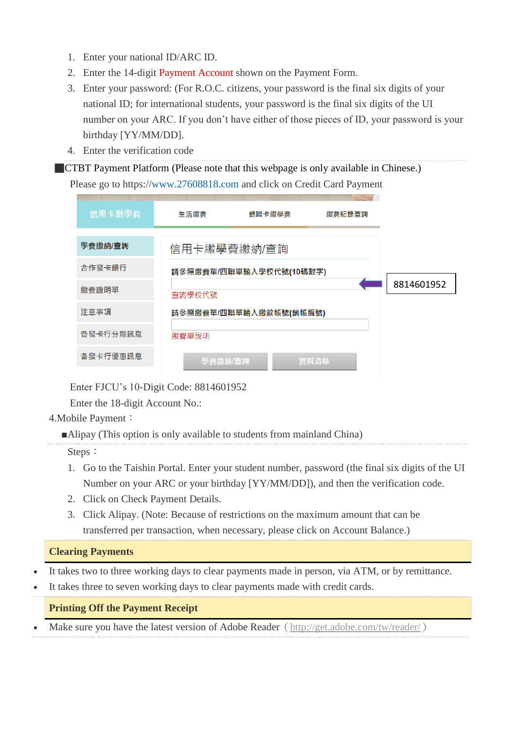- 1. Enter your national ID/ARC ID.
- 2. Enter the 14-digit Payment Account shown on the Payment Form.
- 3. Enter your password: (For R.O.C. citizens, your password is the final six digits of your national ID; for international students, your password is the final six digits of the UI number on your ARC. If you don't have either of those pieces of ID, your password is your birthday [YY/MM/DD].
- 4. Enter the verification code

**CTBT Payment Platform (Please note that this webpage is only available in Chinese.)** Please go to https:/[/www.27608818.com](http://www.27608818.com/) and click on Credit Card Payment

| 信用卡繳學費   | 生活繳費    | 銀聯卡繳學費                  | 繳費紀錄查詢 |            |
|----------|---------|-------------------------|--------|------------|
| 學費繳納/查詢  |         | 信用卡繳學費繳納/查詢             |        |            |
| 合作發卡銀行   |         | 請參照繳費單/四聯單輸入學校代號(10碼數字) |        |            |
| 繳費證明單    | 杳詢學校代號  |                         |        | 8814601952 |
| 注意事項     |         | 請參照繳費單/四聯單輸入繳款帳號(銷帳編號)  |        |            |
| 各發卡行分期訊息 | 繳費單說明   |                         |        |            |
| 各發卡行優惠訊息 | 學費繳納/查詢 |                         | 資料清除   |            |

Enter FJCU's 10-Digit Code: 8814601952

Enter the 18-digit Account No.:

### 4.Mobile Payment:

■Alipay (This option is only available to students from mainland China)

Steps:

- 1. Go to the Taishin Portal. Enter your student number, password (the final six digits of the UI Number on your ARC or your birthday [YY/MM/DD]), and then the verification code.
- 2. Click on Check Payment Details.
- 3. Click Alipay. (Note: Because of restrictions on the maximum amount that can be transferred per transaction, when necessary, please click on Account Balance.)

# **Clearing Payments**

- It takes two to three working days to clear payments made in person, via ATM, or by remittance.
- It takes three to seven working days to clear payments made with credit cards.

### **Printing Off the Payment Receipt**

• Make sure you have the latest version of Adobe Reader (<http://get.adobe.com/tw/reader/>)